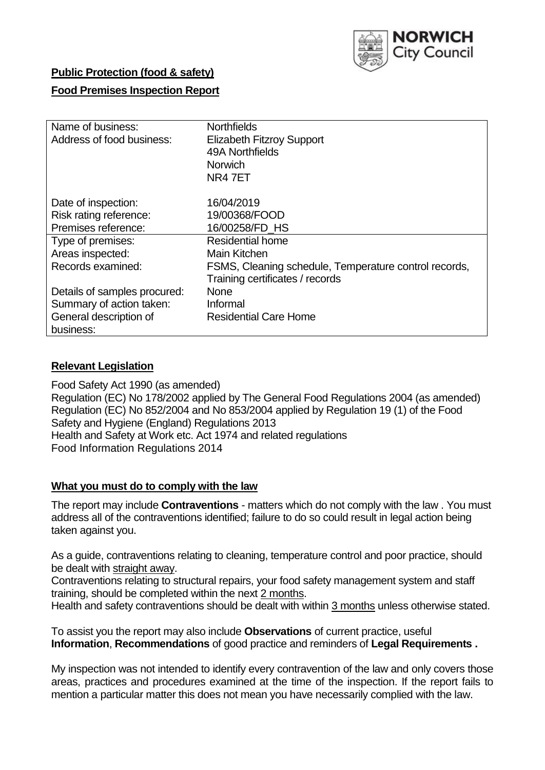

## **Public Protection (food & safety)**

### **Food Premises Inspection Report**

| Name of business:<br>Address of food business: | <b>Northfields</b><br><b>Elizabeth Fitzroy Support</b><br>49A Northfields<br><b>Norwich</b><br>NR47ET |
|------------------------------------------------|-------------------------------------------------------------------------------------------------------|
| Date of inspection:                            | 16/04/2019                                                                                            |
| Risk rating reference:                         | 19/00368/FOOD                                                                                         |
| Premises reference:                            | 16/00258/FD HS                                                                                        |
| Type of premises:                              | <b>Residential home</b>                                                                               |
| Areas inspected:                               | Main Kitchen                                                                                          |
| Records examined:                              | FSMS, Cleaning schedule, Temperature control records,                                                 |
|                                                | Training certificates / records                                                                       |
| Details of samples procured:                   | <b>None</b>                                                                                           |
| Summary of action taken:                       | Informal                                                                                              |
| General description of<br>business:            | <b>Residential Care Home</b>                                                                          |

### **Relevant Legislation**

Food Safety Act 1990 (as amended) Regulation (EC) No 178/2002 applied by The General Food Regulations 2004 (as amended) Regulation (EC) No 852/2004 and No 853/2004 applied by Regulation 19 (1) of the Food Safety and Hygiene (England) Regulations 2013 Health and Safety at Work etc. Act 1974 and related regulations Food Information Regulations 2014

#### **What you must do to comply with the law**

The report may include **Contraventions** - matters which do not comply with the law . You must address all of the contraventions identified; failure to do so could result in legal action being taken against you.

As a guide, contraventions relating to cleaning, temperature control and poor practice, should be dealt with straight away.

Contraventions relating to structural repairs, your food safety management system and staff training, should be completed within the next 2 months.

Health and safety contraventions should be dealt with within 3 months unless otherwise stated.

To assist you the report may also include **Observations** of current practice, useful **Information**, **Recommendations** of good practice and reminders of **Legal Requirements .**

My inspection was not intended to identify every contravention of the law and only covers those areas, practices and procedures examined at the time of the inspection. If the report fails to mention a particular matter this does not mean you have necessarily complied with the law.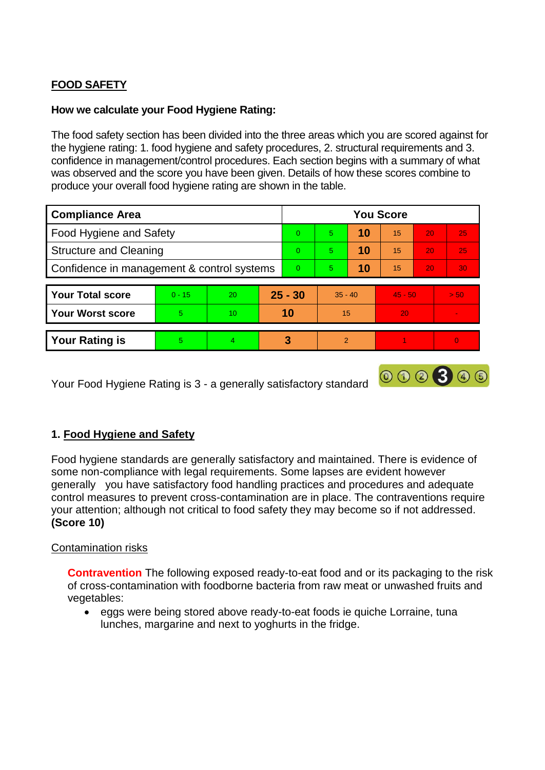# **FOOD SAFETY**

### **How we calculate your Food Hygiene Rating:**

The food safety section has been divided into the three areas which you are scored against for the hygiene rating: 1. food hygiene and safety procedures, 2. structural requirements and 3. confidence in management/control procedures. Each section begins with a summary of what was observed and the score you have been given. Details of how these scores combine to produce your overall food hygiene rating are shown in the table.

| <b>Compliance Area</b>                     |          |                  |   | <b>You Score</b> |                |    |           |    |                |  |  |
|--------------------------------------------|----------|------------------|---|------------------|----------------|----|-----------|----|----------------|--|--|
| Food Hygiene and Safety                    |          |                  |   | $\Omega$         | 5              | 10 | 15        | 20 | 25             |  |  |
| <b>Structure and Cleaning</b>              |          |                  |   | $\Omega$         | 5              | 10 | 15        | 20 | 25             |  |  |
| Confidence in management & control systems |          |                  |   | $\Omega$         | 5              | 10 | 15        | 20 | 30             |  |  |
|                                            |          |                  |   |                  |                |    |           |    |                |  |  |
| <b>Your Total score</b>                    | $0 - 15$ | 20               |   | $25 - 30$        | $35 - 40$      |    | $45 - 50$ |    | > 50           |  |  |
| <b>Your Worst score</b>                    | 5.       | 10 <sup>10</sup> |   | 10               | 15             |    | 20        |    |                |  |  |
|                                            |          |                  |   |                  |                |    |           |    |                |  |  |
| <b>Your Rating is</b>                      | 5        | 4                | 3 |                  | $\overline{2}$ |    |           |    | $\overline{0}$ |  |  |

Your Food Hygiene Rating is 3 - a generally satisfactory standard

# **1. Food Hygiene and Safety**

Food hygiene standards are generally satisfactory and maintained. There is evidence of some non-compliance with legal requirements. Some lapses are evident however generally you have satisfactory food handling practices and procedures and adequate control measures to prevent cross-contamination are in place. The contraventions require your attention; although not critical to food safety they may become so if not addressed. **(Score 10)**

000300

### Contamination risks

**Contravention** The following exposed ready-to-eat food and or its packaging to the risk of cross-contamination with foodborne bacteria from raw meat or unwashed fruits and vegetables:

• eggs were being stored above ready-to-eat foods ie quiche Lorraine, tuna lunches, margarine and next to yoghurts in the fridge.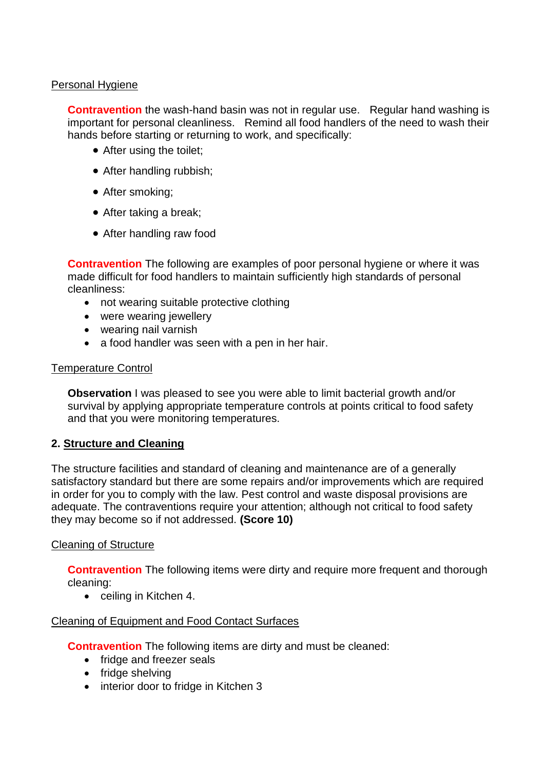### Personal Hygiene

**Contravention** the wash-hand basin was not in regular use. Regular hand washing is important for personal cleanliness. Remind all food handlers of the need to wash their hands before starting or returning to work, and specifically:

- After using the toilet;
- After handling rubbish;
- After smoking:
- After taking a break;
- After handling raw food

**Contravention** The following are examples of poor personal hygiene or where it was made difficult for food handlers to maintain sufficiently high standards of personal cleanliness:

- not wearing suitable protective clothing
- were wearing jewellery
- wearing nail varnish
- a food handler was seen with a pen in her hair.

### Temperature Control

**Observation** I was pleased to see you were able to limit bacterial growth and/or survival by applying appropriate temperature controls at points critical to food safety and that you were monitoring temperatures.

# **2. Structure and Cleaning**

The structure facilities and standard of cleaning and maintenance are of a generally satisfactory standard but there are some repairs and/or improvements which are required in order for you to comply with the law. Pest control and waste disposal provisions are adequate. The contraventions require your attention; although not critical to food safety they may become so if not addressed. **(Score 10)**

### Cleaning of Structure

**Contravention** The following items were dirty and require more frequent and thorough cleaning:

• ceiling in Kitchen 4.

### Cleaning of Equipment and Food Contact Surfaces

**Contravention** The following items are dirty and must be cleaned:

- fridge and freezer seals
- fridge shelving
- interior door to fridge in Kitchen 3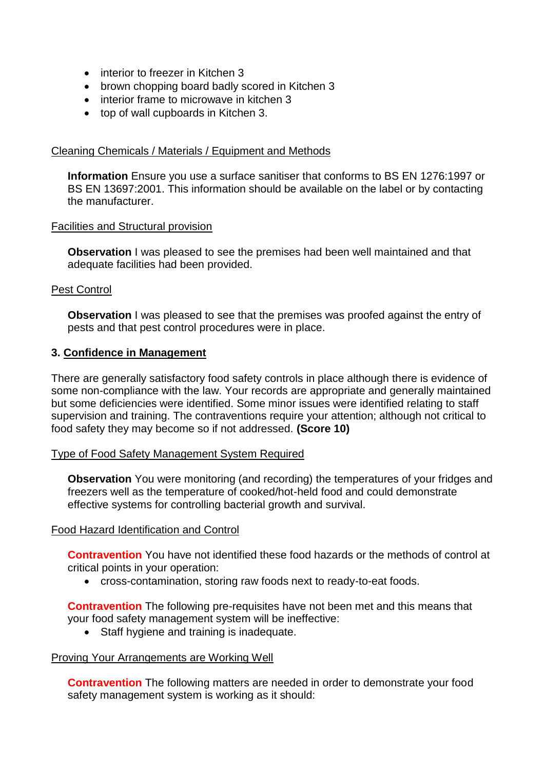- interior to freezer in Kitchen 3
- brown chopping board badly scored in Kitchen 3
- interior frame to microwave in kitchen 3
- top of wall cupboards in Kitchen 3.

#### Cleaning Chemicals / Materials / Equipment and Methods

**Information** Ensure you use a surface sanitiser that conforms to BS EN 1276:1997 or BS EN 13697:2001. This information should be available on the label or by contacting the manufacturer.

#### Facilities and Structural provision

**Observation** I was pleased to see the premises had been well maintained and that adequate facilities had been provided.

### Pest Control

**Observation** I was pleased to see that the premises was proofed against the entry of pests and that pest control procedures were in place.

#### **3. Confidence in Management**

There are generally satisfactory food safety controls in place although there is evidence of some non-compliance with the law. Your records are appropriate and generally maintained but some deficiencies were identified. Some minor issues were identified relating to staff supervision and training. The contraventions require your attention; although not critical to food safety they may become so if not addressed. **(Score 10)**

### Type of Food Safety Management System Required

**Observation** You were monitoring (and recording) the temperatures of your fridges and freezers well as the temperature of cooked/hot-held food and could demonstrate effective systems for controlling bacterial growth and survival.

### Food Hazard Identification and Control

**Contravention** You have not identified these food hazards or the methods of control at critical points in your operation:

cross-contamination, storing raw foods next to ready-to-eat foods.

**Contravention** The following pre-requisites have not been met and this means that your food safety management system will be ineffective:

• Staff hygiene and training is inadequate.

#### Proving Your Arrangements are Working Well

**Contravention** The following matters are needed in order to demonstrate your food safety management system is working as it should: